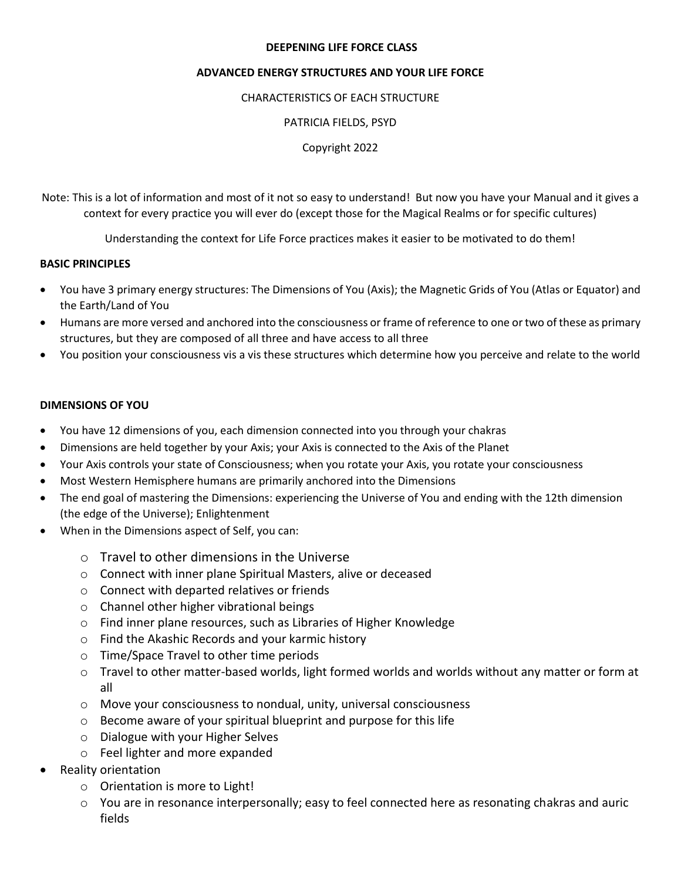#### **DEEPENING LIFE FORCE CLASS**

### **ADVANCED ENERGY STRUCTURES AND YOUR LIFE FORCE**

### CHARACTERISTICS OF EACH STRUCTURE

### PATRICIA FIELDS, PSYD

Copyright 2022

Note: This is a lot of information and most of it not so easy to understand! But now you have your Manual and it gives a context for every practice you will ever do (except those for the Magical Realms or for specific cultures)

Understanding the context for Life Force practices makes it easier to be motivated to do them!

### **BASIC PRINCIPLES**

- You have 3 primary energy structures: The Dimensions of You (Axis); the Magnetic Grids of You (Atlas or Equator) and the Earth/Land of You
- Humans are more versed and anchored into the consciousness or frame of reference to one or two of these as primary structures, but they are composed of all three and have access to all three
- You position your consciousness vis a vis these structures which determine how you perceive and relate to the world

### **DIMENSIONS OF YOU**

- You have 12 dimensions of you, each dimension connected into you through your chakras
- Dimensions are held together by your Axis; your Axis is connected to the Axis of the Planet
- Your Axis controls your state of Consciousness; when you rotate your Axis, you rotate your consciousness
- Most Western Hemisphere humans are primarily anchored into the Dimensions
- The end goal of mastering the Dimensions: experiencing the Universe of You and ending with the 12th dimension (the edge of the Universe); Enlightenment
- When in the Dimensions aspect of Self, you can:
	- o Travel to other dimensions in the Universe
	- o Connect with inner plane Spiritual Masters, alive or deceased
	- o Connect with departed relatives or friends
	- o Channel other higher vibrational beings
	- o Find inner plane resources, such as Libraries of Higher Knowledge
	- o Find the Akashic Records and your karmic history
	- o Time/Space Travel to other time periods
	- o Travel to other matter-based worlds, light formed worlds and worlds without any matter or form at all
	- $\circ$  Move your consciousness to nondual, unity, universal consciousness
	- o Become aware of your spiritual blueprint and purpose for this life
	- o Dialogue with your Higher Selves
	- o Feel lighter and more expanded
- Reality orientation
	- o Orientation is more to Light!
	- $\circ$  You are in resonance interpersonally; easy to feel connected here as resonating chakras and auric fields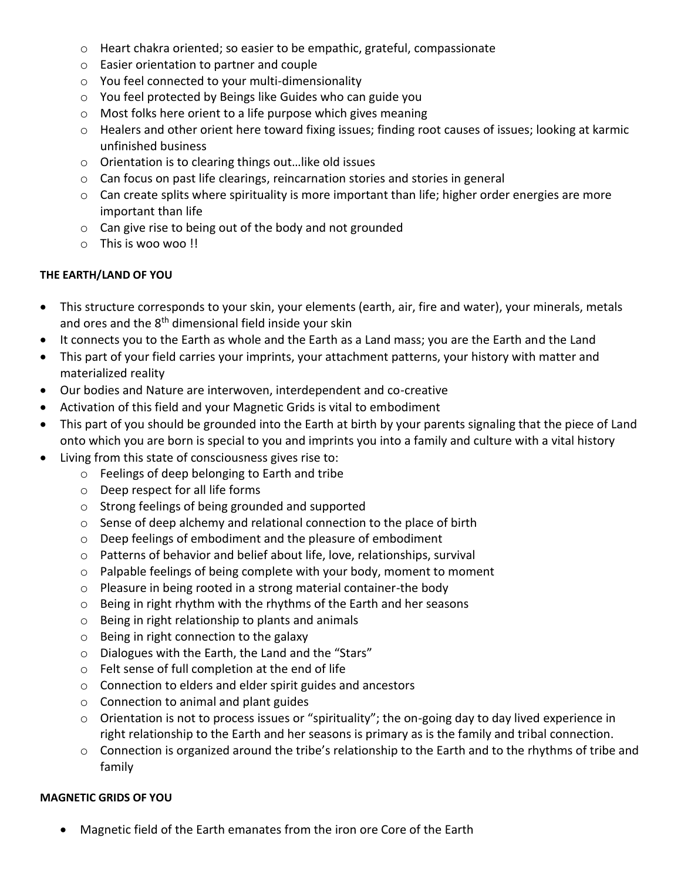- o Heart chakra oriented; so easier to be empathic, grateful, compassionate
- o Easier orientation to partner and couple
- o You feel connected to your multi-dimensionality
- o You feel protected by Beings like Guides who can guide you
- o Most folks here orient to a life purpose which gives meaning
- o Healers and other orient here toward fixing issues; finding root causes of issues; looking at karmic unfinished business
- o Orientation is to clearing things out…like old issues
- $\circ$  Can focus on past life clearings, reincarnation stories and stories in general
- o Can create splits where spirituality is more important than life; higher order energies are more important than life
- o Can give rise to being out of the body and not grounded
- o This is woo woo !!

# **THE EARTH/LAND OF YOU**

- This structure corresponds to your skin, your elements (earth, air, fire and water), your minerals, metals and ores and the 8<sup>th</sup> dimensional field inside your skin
- It connects you to the Earth as whole and the Earth as a Land mass; you are the Earth and the Land
- This part of your field carries your imprints, your attachment patterns, your history with matter and materialized reality
- Our bodies and Nature are interwoven, interdependent and co-creative
- Activation of this field and your Magnetic Grids is vital to embodiment
- This part of you should be grounded into the Earth at birth by your parents signaling that the piece of Land onto which you are born is special to you and imprints you into a family and culture with a vital history
- Living from this state of consciousness gives rise to:
	- o Feelings of deep belonging to Earth and tribe
	- o Deep respect for all life forms
	- o Strong feelings of being grounded and supported
	- o Sense of deep alchemy and relational connection to the place of birth
	- o Deep feelings of embodiment and the pleasure of embodiment
	- o Patterns of behavior and belief about life, love, relationships, survival
	- o Palpable feelings of being complete with your body, moment to moment
	- o Pleasure in being rooted in a strong material container-the body
	- o Being in right rhythm with the rhythms of the Earth and her seasons
	- o Being in right relationship to plants and animals
	- o Being in right connection to the galaxy
	- o Dialogues with the Earth, the Land and the "Stars"
	- o Felt sense of full completion at the end of life
	- o Connection to elders and elder spirit guides and ancestors
	- o Connection to animal and plant guides
	- o Orientation is not to process issues or "spirituality"; the on-going day to day lived experience in right relationship to the Earth and her seasons is primary as is the family and tribal connection.
	- o Connection is organized around the tribe's relationship to the Earth and to the rhythms of tribe and family

# **MAGNETIC GRIDS OF YOU**

• Magnetic field of the Earth emanates from the iron ore Core of the Earth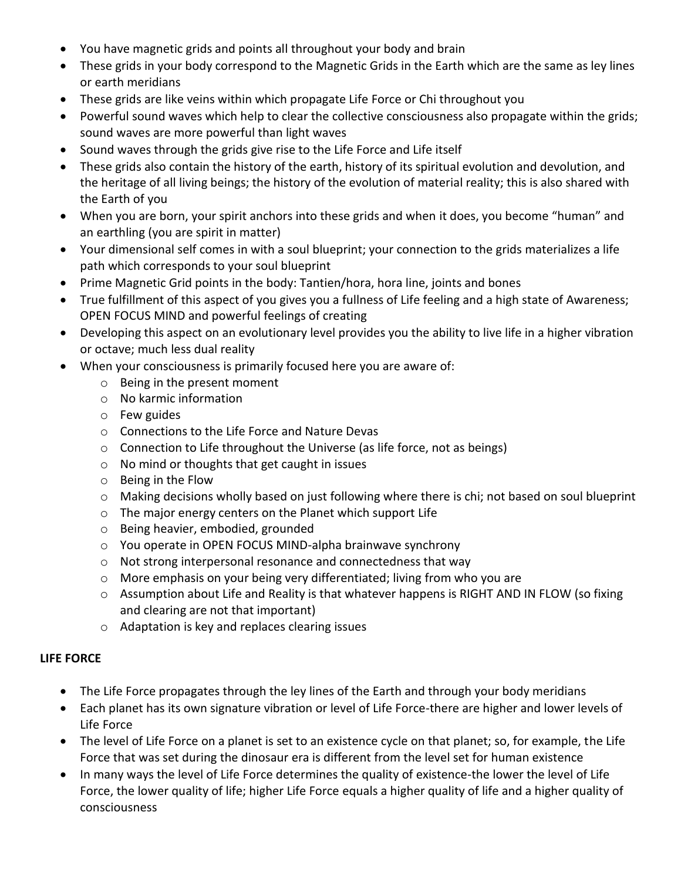- You have magnetic grids and points all throughout your body and brain
- These grids in your body correspond to the Magnetic Grids in the Earth which are the same as ley lines or earth meridians
- These grids are like veins within which propagate Life Force or Chi throughout you
- Powerful sound waves which help to clear the collective consciousness also propagate within the grids; sound waves are more powerful than light waves
- Sound waves through the grids give rise to the Life Force and Life itself
- These grids also contain the history of the earth, history of its spiritual evolution and devolution, and the heritage of all living beings; the history of the evolution of material reality; this is also shared with the Earth of you
- When you are born, your spirit anchors into these grids and when it does, you become "human" and an earthling (you are spirit in matter)
- Your dimensional self comes in with a soul blueprint; your connection to the grids materializes a life path which corresponds to your soul blueprint
- Prime Magnetic Grid points in the body: Tantien/hora, hora line, joints and bones
- True fulfillment of this aspect of you gives you a fullness of Life feeling and a high state of Awareness; OPEN FOCUS MIND and powerful feelings of creating
- Developing this aspect on an evolutionary level provides you the ability to live life in a higher vibration or octave; much less dual reality
- When your consciousness is primarily focused here you are aware of:
	- o Being in the present moment
	- o No karmic information
	- o Few guides
	- o Connections to the Life Force and Nature Devas
	- o Connection to Life throughout the Universe (as life force, not as beings)
	- o No mind or thoughts that get caught in issues
	- o Being in the Flow
	- o Making decisions wholly based on just following where there is chi; not based on soul blueprint
	- o The major energy centers on the Planet which support Life
	- o Being heavier, embodied, grounded
	- o You operate in OPEN FOCUS MIND-alpha brainwave synchrony
	- o Not strong interpersonal resonance and connectedness that way
	- o More emphasis on your being very differentiated; living from who you are
	- o Assumption about Life and Reality is that whatever happens is RIGHT AND IN FLOW (so fixing and clearing are not that important)
	- o Adaptation is key and replaces clearing issues

# **LIFE FORCE**

- The Life Force propagates through the ley lines of the Earth and through your body meridians
- Each planet has its own signature vibration or level of Life Force-there are higher and lower levels of Life Force
- The level of Life Force on a planet is set to an existence cycle on that planet; so, for example, the Life Force that was set during the dinosaur era is different from the level set for human existence
- In many ways the level of Life Force determines the quality of existence-the lower the level of Life Force, the lower quality of life; higher Life Force equals a higher quality of life and a higher quality of consciousness